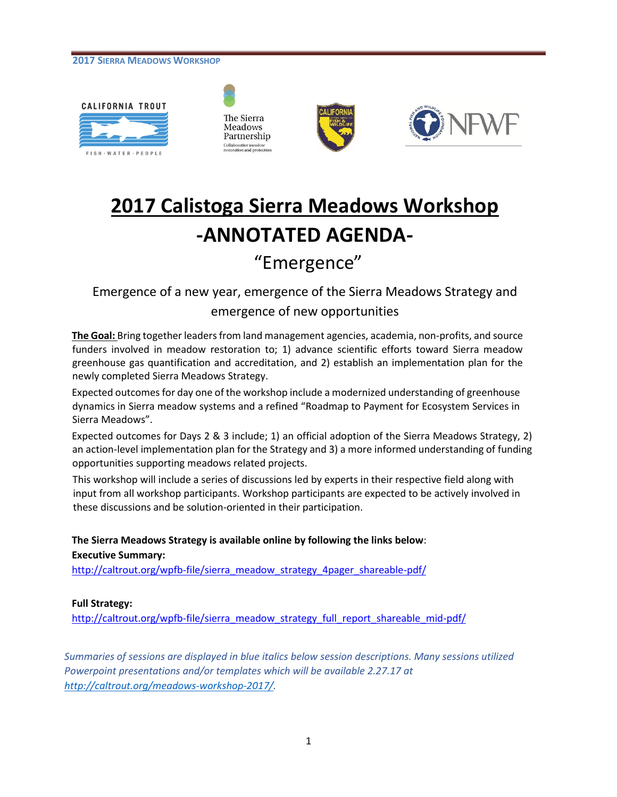







# **2017 Calistoga Sierra Meadows Workshop -ANNOTATED AGENDA-**

# "Emergence"

Emergence of a new year, emergence of the Sierra Meadows Strategy and

# emergence of new opportunities

**The Goal:** Bring together leaders from land management agencies, academia, non-profits, and source funders involved in meadow restoration to; 1) advance scientific efforts toward Sierra meadow greenhouse gas quantification and accreditation, and 2) establish an implementation plan for the newly completed Sierra Meadows Strategy.

Expected outcomes for day one of the workshop include a modernized understanding of greenhouse dynamics in Sierra meadow systems and a refined "Roadmap to Payment for Ecosystem Services in Sierra Meadows".

Expected outcomes for Days 2 & 3 include; 1) an official adoption of the Sierra Meadows Strategy, 2) an action-level implementation plan for the Strategy and 3) a more informed understanding of funding opportunities supporting meadows related projects.

This workshop will include a series of discussions led by experts in their respective field along with input from all workshop participants. Workshop participants are expected to be actively involved in these discussions and be solution-oriented in their participation.

**The Sierra Meadows Strategy is available online by following the links below**: **Executive Summary:** 

[http://caltrout.org/wpfb-file/sierra\\_meadow\\_strategy\\_4pager\\_shareable-pdf/](http://caltrout.org/wpfb-file/sierra_meadow_strategy_4pager_shareable-pdf/)

# **Full Strategy:**

[http://caltrout.org/wpfb-file/sierra\\_meadow\\_strategy\\_full\\_report\\_shareable\\_mid-pdf/](http://caltrout.org/wpfb-file/sierra_meadow_strategy_full_report_shareable_mid-pdf/)

*Summaries of sessions are displayed in blue italics below session descriptions. Many sessions utilized Powerpoint presentations and/or templates which will be available 2.27.17 at [http://caltrout.org/meadows-workshop-2017/.](http://caltrout.org/meadows-workshop-2017/)*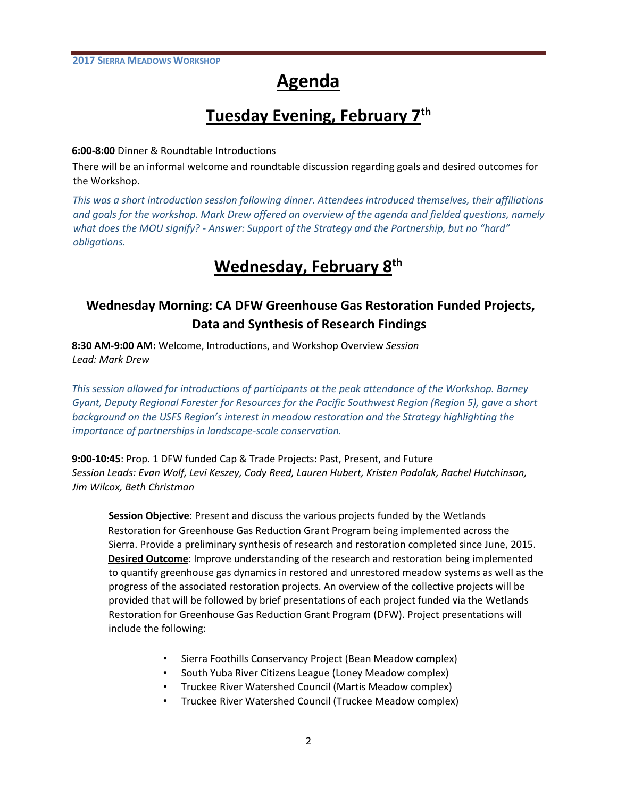# **Agenda**

# **Tuesday Evening, February 7th**

## **6:00-8:00** Dinner & Roundtable Introductions

There will be an informal welcome and roundtable discussion regarding goals and desired outcomes for the Workshop.

*This was a short introduction session following dinner. Attendees introduced themselves, their affiliations and goals for the workshop. Mark Drew offered an overview of the agenda and fielded questions, namely what does the MOU signify? - Answer: Support of the Strategy and the Partnership, but no "hard" obligations.*

# **Wednesday, February 8th**

# **Wednesday Morning: CA DFW Greenhouse Gas Restoration Funded Projects, Data and Synthesis of Research Findings**

**8:30 AM-9:00 AM:** Welcome, Introductions, and Workshop Overview *Session Lead: Mark Drew* 

*This session allowed for introductions of participants at the peak attendance of the Workshop. Barney Gyant, Deputy Regional Forester for Resources for the Pacific Southwest Region (Region 5), gave a short background on the USFS Region's interest in meadow restoration and the Strategy highlighting the importance of partnerships in landscape-scale conservation.* 

## **9:00-10:45**: Prop. 1 DFW funded Cap & Trade Projects: Past, Present, and Future

*Session Leads: Evan Wolf, Levi Keszey, Cody Reed, Lauren Hubert, Kristen Podolak, Rachel Hutchinson, Jim Wilcox, Beth Christman* 

**Session Objective**: Present and discuss the various projects funded by the Wetlands Restoration for Greenhouse Gas Reduction Grant Program being implemented across the Sierra. Provide a preliminary synthesis of research and restoration completed since June, 2015. **Desired Outcome**: Improve understanding of the research and restoration being implemented to quantify greenhouse gas dynamics in restored and unrestored meadow systems as well as the progress of the associated restoration projects. An overview of the collective projects will be provided that will be followed by brief presentations of each project funded via the Wetlands Restoration for Greenhouse Gas Reduction Grant Program (DFW). Project presentations will include the following:

- Sierra Foothills Conservancy Project (Bean Meadow complex)
- South Yuba River Citizens League (Loney Meadow complex)
- Truckee River Watershed Council (Martis Meadow complex)
- Truckee River Watershed Council (Truckee Meadow complex)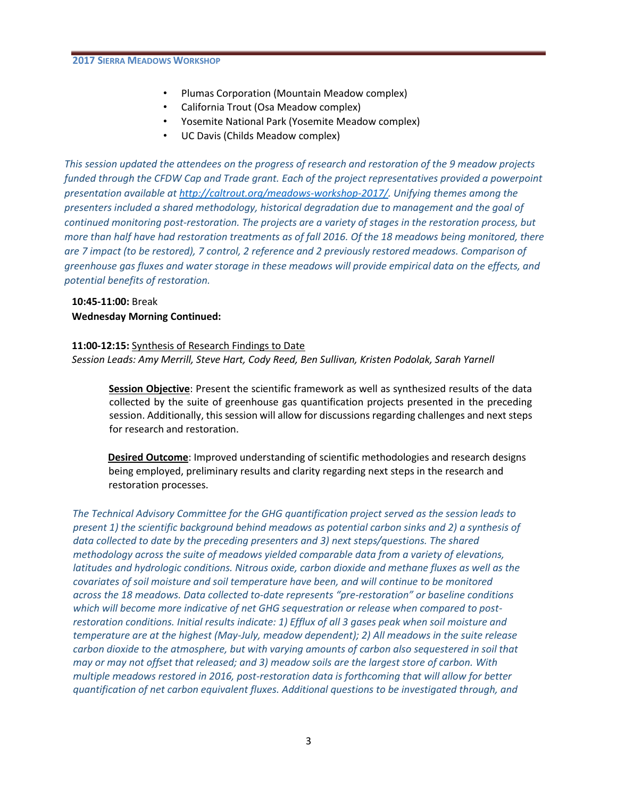- Plumas Corporation (Mountain Meadow complex)
- California Trout (Osa Meadow complex)
- Yosemite National Park (Yosemite Meadow complex)
- UC Davis (Childs Meadow complex)

*This session updated the attendees on the progress of research and restoration of the 9 meadow projects funded through the CFDW Cap and Trade grant. Each of the project representatives provided a powerpoint presentation available at [http://caltrout.org/meadows-workshop-2017/.](http://caltrout.org/meadows-workshop-2017/) Unifying themes among the presenters included a shared methodology, historical degradation due to management and the goal of continued monitoring post-restoration. The projects are a variety of stages in the restoration process, but more than half have had restoration treatments as of fall 2016. Of the 18 meadows being monitored, there are 7 impact (to be restored), 7 control, 2 reference and 2 previously restored meadows. Comparison of greenhouse gas fluxes and water storage in these meadows will provide empirical data on the effects, and potential benefits of restoration.*

# **10:45-11:00:** Break **Wednesday Morning Continued:**

## **11:00-12:15:** Synthesis of Research Findings to Date

*Session Leads: Amy Merrill, Steve Hart, Cody Reed, Ben Sullivan, Kristen Podolak, Sarah Yarnell* 

**Session Objective**: Present the scientific framework as well as synthesized results of the data collected by the suite of greenhouse gas quantification projects presented in the preceding session. Additionally, this session will allow for discussions regarding challenges and next steps for research and restoration.

**Desired Outcome**: Improved understanding of scientific methodologies and research designs being employed, preliminary results and clarity regarding next steps in the research and restoration processes.

*The Technical Advisory Committee for the GHG quantification project served as the session leads to present 1) the scientific background behind meadows as potential carbon sinks and 2) a synthesis of data collected to date by the preceding presenters and 3) next steps/questions. The shared methodology across the suite of meadows yielded comparable data from a variety of elevations, latitudes and hydrologic conditions. Nitrous oxide, carbon dioxide and methane fluxes as well as the covariates of soil moisture and soil temperature have been, and will continue to be monitored across the 18 meadows. Data collected to-date represents "pre-restoration" or baseline conditions which will become more indicative of net GHG sequestration or release when compared to postrestoration conditions. Initial results indicate: 1) Efflux of all 3 gases peak when soil moisture and temperature are at the highest (May-July, meadow dependent); 2) All meadows in the suite release carbon dioxide to the atmosphere, but with varying amounts of carbon also sequestered in soil that may or may not offset that released; and 3) meadow soils are the largest store of carbon. With multiple meadows restored in 2016, post-restoration data is forthcoming that will allow for better quantification of net carbon equivalent fluxes. Additional questions to be investigated through, and*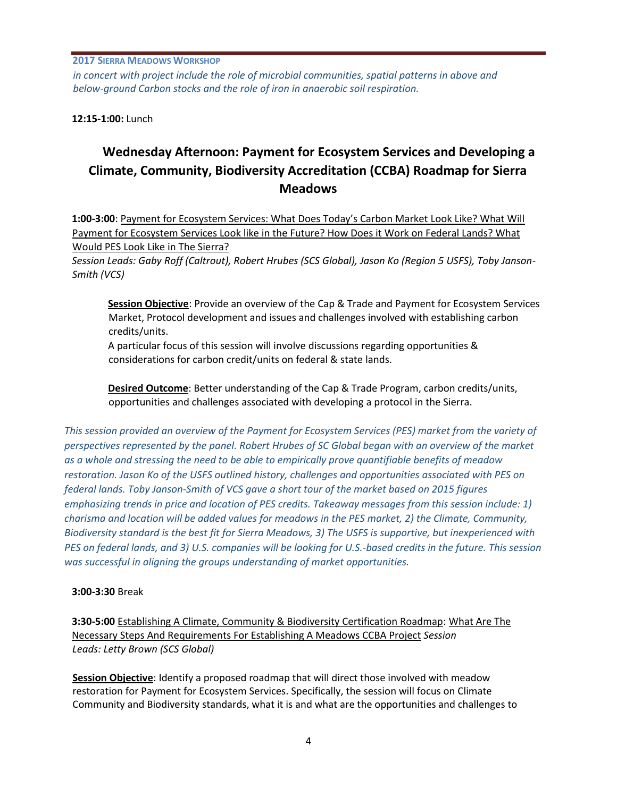*in concert with project include the role of microbial communities, spatial patterns in above and below-ground Carbon stocks and the role of iron in anaerobic soil respiration.*

**12:15-1:00:** Lunch

# **Wednesday Afternoon: Payment for Ecosystem Services and Developing a Climate, Community, Biodiversity Accreditation (CCBA) Roadmap for Sierra Meadows**

**1:00-3:00**: Payment for Ecosystem Services: What Does Today's Carbon Market Look Like? What Will Payment for Ecosystem Services Look like in the Future? How Does it Work on Federal Lands? What Would PES Look Like in The Sierra?

*Session Leads: Gaby Roff (Caltrout), Robert Hrubes (SCS Global), Jason Ko (Region 5 USFS), Toby Janson-Smith (VCS)* 

**Session Objective**: Provide an overview of the Cap & Trade and Payment for Ecosystem Services Market, Protocol development and issues and challenges involved with establishing carbon credits/units.

A particular focus of this session will involve discussions regarding opportunities & considerations for carbon credit/units on federal & state lands.

**Desired Outcome**: Better understanding of the Cap & Trade Program, carbon credits/units, opportunities and challenges associated with developing a protocol in the Sierra.

*This session provided an overview of the Payment for Ecosystem Services (PES) market from the variety of perspectives represented by the panel. Robert Hrubes of SC Global began with an overview of the market as a whole and stressing the need to be able to empirically prove quantifiable benefits of meadow restoration. Jason Ko of the USFS outlined history, challenges and opportunities associated with PES on federal lands. Toby Janson-Smith of VCS gave a short tour of the market based on 2015 figures emphasizing trends in price and location of PES credits. Takeaway messages from this session include: 1) charisma and location will be added values for meadows in the PES market, 2) the Climate, Community, Biodiversity standard is the best fit for Sierra Meadows, 3) The USFS is supportive, but inexperienced with PES on federal lands, and 3) U.S. companies will be looking for U.S.-based credits in the future. This session was successful in aligning the groups understanding of market opportunities.*

# **3:00-3:30** Break

**3:30-5:00** Establishing A Climate, Community & Biodiversity Certification Roadmap: What Are The Necessary Steps And Requirements For Establishing A Meadows CCBA Project *Session Leads: Letty Brown (SCS Global)* 

**Session Objective**: Identify a proposed roadmap that will direct those involved with meadow restoration for Payment for Ecosystem Services. Specifically, the session will focus on Climate Community and Biodiversity standards, what it is and what are the opportunities and challenges to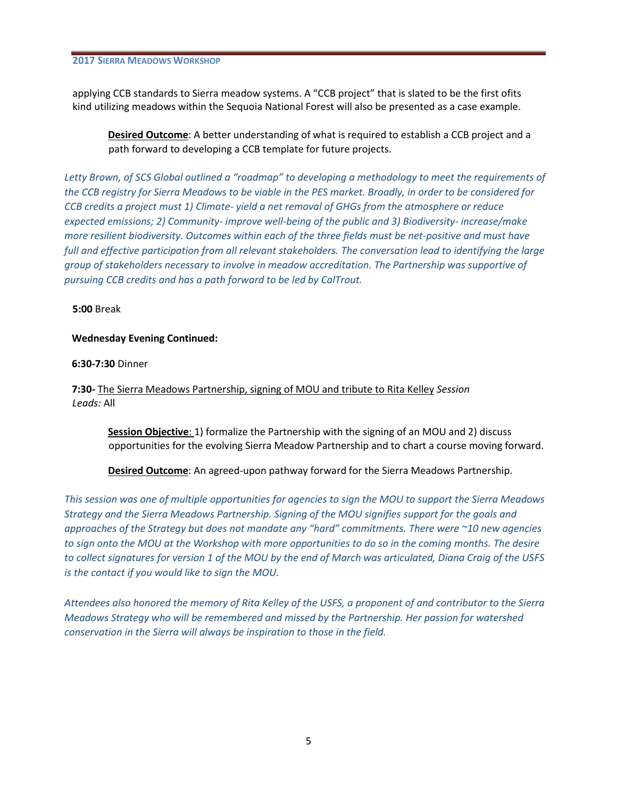applying CCB standards to Sierra meadow systems. A "CCB project" that is slated to be the first ofits kind utilizing meadows within the Sequoia National Forest will also be presented as a case example.

**Desired Outcome**: A better understanding of what is required to establish a CCB project and a path forward to developing a CCB template for future projects.

*Letty Brown, of SCS Global outlined a "roadmap" to developing a methodology to meet the requirements of the CCB registry for Sierra Meadows to be viable in the PES market. Broadly, in order to be considered for CCB credits a project must 1) Climate- yield a net removal of GHGs from the atmosphere or reduce expected emissions; 2) Community- improve well-being of the public and 3) Biodiversity- increase/make more resilient biodiversity. Outcomes within each of the three fields must be net-positive and must have full and effective participation from all relevant stakeholders. The conversation lead to identifying the large group of stakeholders necessary to involve in meadow accreditation. The Partnership was supportive of pursuing CCB credits and has a path forward to be led by CalTrout.*

**5:00** Break

#### **Wednesday Evening Continued:**

**6:30-7:30** Dinner

**7:30-** The Sierra Meadows Partnership, signing of MOU and tribute to Rita Kelley *Session Leads:* All

**Session Objective**: 1) formalize the Partnership with the signing of an MOU and 2) discuss opportunities for the evolving Sierra Meadow Partnership and to chart a course moving forward.

**Desired Outcome**: An agreed-upon pathway forward for the Sierra Meadows Partnership.

*This session was one of multiple opportunities for agencies to sign the MOU to support the Sierra Meadows Strategy and the Sierra Meadows Partnership. Signing of the MOU signifies support for the goals and approaches of the Strategy but does not mandate any "hard" commitments. There were ~10 new agencies to sign onto the MOU at the Workshop with more opportunities to do so in the coming months. The desire to collect signatures for version 1 of the MOU by the end of March was articulated, Diana Craig of the USFS is the contact if you would like to sign the MOU.*

*Attendees also honored the memory of Rita Kelley of the USFS, a proponent of and contributor to the Sierra Meadows Strategy who will be remembered and missed by the Partnership. Her passion for watershed conservation in the Sierra will always be inspiration to those in the field.*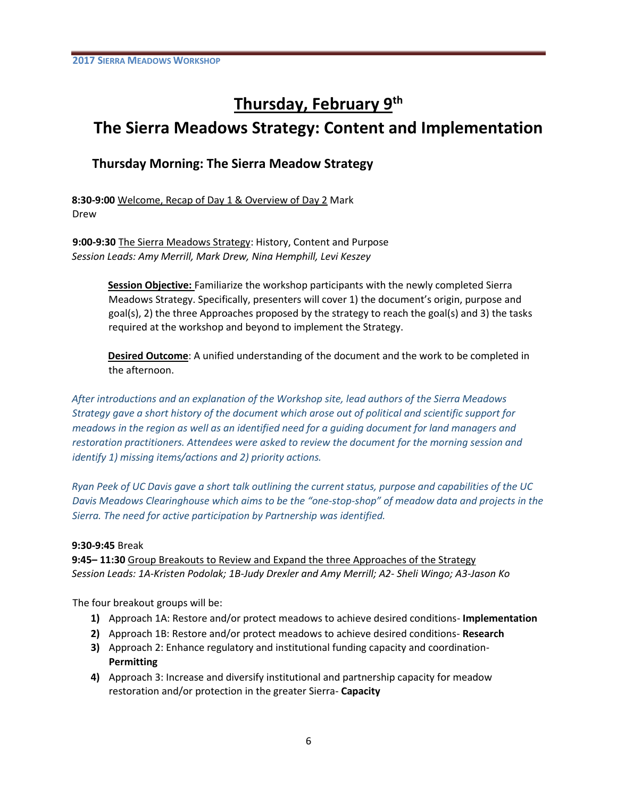# **Thursday, February 9th**

# **The Sierra Meadows Strategy: Content and Implementation**

# **Thursday Morning: The Sierra Meadow Strategy**

**8:30-9:00** Welcome, Recap of Day 1 & Overview of Day 2 Mark Drew

**9:00-9:30** The Sierra Meadows Strategy: History, Content and Purpose *Session Leads: Amy Merrill, Mark Drew, Nina Hemphill, Levi Keszey* 

> **Session Objective:** Familiarize the workshop participants with the newly completed Sierra Meadows Strategy. Specifically, presenters will cover 1) the document's origin, purpose and goal(s), 2) the three Approaches proposed by the strategy to reach the goal(s) and 3) the tasks required at the workshop and beyond to implement the Strategy.

> **Desired Outcome**: A unified understanding of the document and the work to be completed in the afternoon.

*After introductions and an explanation of the Workshop site, lead authors of the Sierra Meadows Strategy gave a short history of the document which arose out of political and scientific support for meadows in the region as well as an identified need for a guiding document for land managers and restoration practitioners. Attendees were asked to review the document for the morning session and identify 1) missing items/actions and 2) priority actions.* 

*Ryan Peek of UC Davis gave a short talk outlining the current status, purpose and capabilities of the UC Davis Meadows Clearinghouse which aims to be the "one-stop-shop" of meadow data and projects in the Sierra. The need for active participation by Partnership was identified.*

## **9:30-9:45** Break

**9:45– 11:30** Group Breakouts to Review and Expand the three Approaches of the Strategy *Session Leads: 1A-Kristen Podolak; 1B-Judy Drexler and Amy Merrill; A2- Sheli Wingo; A3-Jason Ko* 

The four breakout groups will be:

- **1)** Approach 1A: Restore and/or protect meadows to achieve desired conditions- **Implementation**
- **2)** Approach 1B: Restore and/or protect meadows to achieve desired conditions- **Research**
- **3)** Approach 2: Enhance regulatory and institutional funding capacity and coordination-**Permitting**
- **4)** Approach 3: Increase and diversify institutional and partnership capacity for meadow restoration and/or protection in the greater Sierra- **Capacity**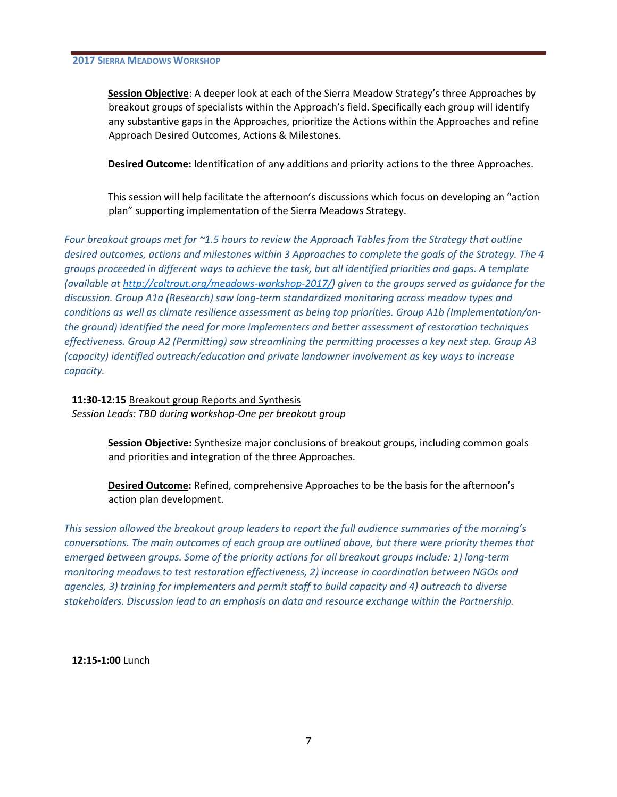**Session Objective**: A deeper look at each of the Sierra Meadow Strategy's three Approaches by breakout groups of specialists within the Approach's field. Specifically each group will identify any substantive gaps in the Approaches, prioritize the Actions within the Approaches and refine Approach Desired Outcomes, Actions & Milestones.

**Desired Outcome:** Identification of any additions and priority actions to the three Approaches.

This session will help facilitate the afternoon's discussions which focus on developing an "action plan" supporting implementation of the Sierra Meadows Strategy.

*Four breakout groups met for ~1.5 hours to review the Approach Tables from the Strategy that outline desired outcomes, actions and milestones within 3 Approaches to complete the goals of the Strategy. The 4 groups proceeded in different ways to achieve the task, but all identified priorities and gaps. A template (available at [http://caltrout.org/meadows-workshop-2017/\)](http://caltrout.org/meadows-workshop-2017/) given to the groups served as guidance for the discussion. Group A1a (Research) saw long-term standardized monitoring across meadow types and conditions as well as climate resilience assessment as being top priorities. Group A1b (Implementation/onthe ground) identified the need for more implementers and better assessment of restoration techniques effectiveness. Group A2 (Permitting) saw streamlining the permitting processes a key next step. Group A3 (capacity) identified outreach/education and private landowner involvement as key ways to increase capacity.* 

**11:30-12:15** Breakout group Reports and Synthesis *Session Leads: TBD during workshop-One per breakout group* 

> **Session Objective:** Synthesize major conclusions of breakout groups, including common goals and priorities and integration of the three Approaches.

**Desired Outcome:** Refined, comprehensive Approaches to be the basis for the afternoon's action plan development.

*This session allowed the breakout group leaders to report the full audience summaries of the morning's conversations. The main outcomes of each group are outlined above, but there were priority themes that emerged between groups. Some of the priority actions for all breakout groups include: 1) long-term monitoring meadows to test restoration effectiveness, 2) increase in coordination between NGOs and agencies, 3) training for implementers and permit staff to build capacity and 4) outreach to diverse stakeholders. Discussion lead to an emphasis on data and resource exchange within the Partnership.*

**12:15-1:00** Lunch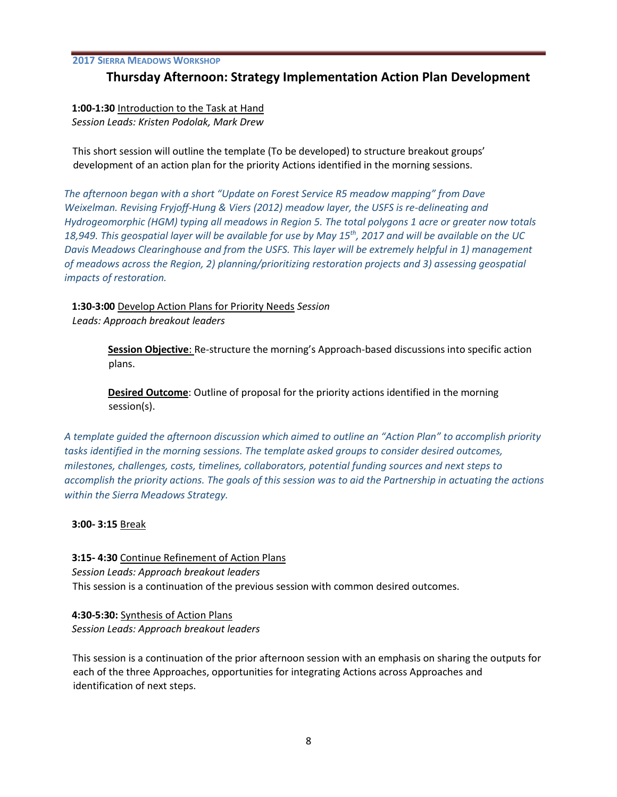# **Thursday Afternoon: Strategy Implementation Action Plan Development**

**1:00-1:30** Introduction to the Task at Hand *Session Leads: Kristen Podolak, Mark Drew* 

This short session will outline the template (To be developed) to structure breakout groups' development of an action plan for the priority Actions identified in the morning sessions.

*The afternoon began with a short "Update on Forest Service R5 meadow mapping" from Dave Weixelman. Revising Fryjoff-Hung & Viers (2012) meadow layer, the USFS is re-delineating and Hydrogeomorphic (HGM) typing all meadows in Region 5. The total polygons 1 acre or greater now totals 18,949. This geospatial layer will be available for use by May 15th, 2017 and will be available on the UC Davis Meadows Clearinghouse and from the USFS. This layer will be extremely helpful in 1) management of meadows across the Region, 2) planning/prioritizing restoration projects and 3) assessing geospatial impacts of restoration.*

**1:30-3:00** Develop Action Plans for Priority Needs *Session Leads: Approach breakout leaders* 

> **Session Objective**: Re-structure the morning's Approach-based discussions into specific action plans.

**Desired Outcome**: Outline of proposal for the priority actions identified in the morning session(s).

*A template guided the afternoon discussion which aimed to outline an "Action Plan" to accomplish priority tasks identified in the morning sessions. The template asked groups to consider desired outcomes, milestones, challenges, costs, timelines, collaborators, potential funding sources and next steps to accomplish the priority actions. The goals of this session was to aid the Partnership in actuating the actions within the Sierra Meadows Strategy.*

**3:00- 3:15** Break

**3:15- 4:30** Continue Refinement of Action Plans *Session Leads: Approach breakout leaders*  This session is a continuation of the previous session with common desired outcomes.

**4:30-5:30:** Synthesis of Action Plans *Session Leads: Approach breakout leaders* 

This session is a continuation of the prior afternoon session with an emphasis on sharing the outputs for each of the three Approaches, opportunities for integrating Actions across Approaches and identification of next steps.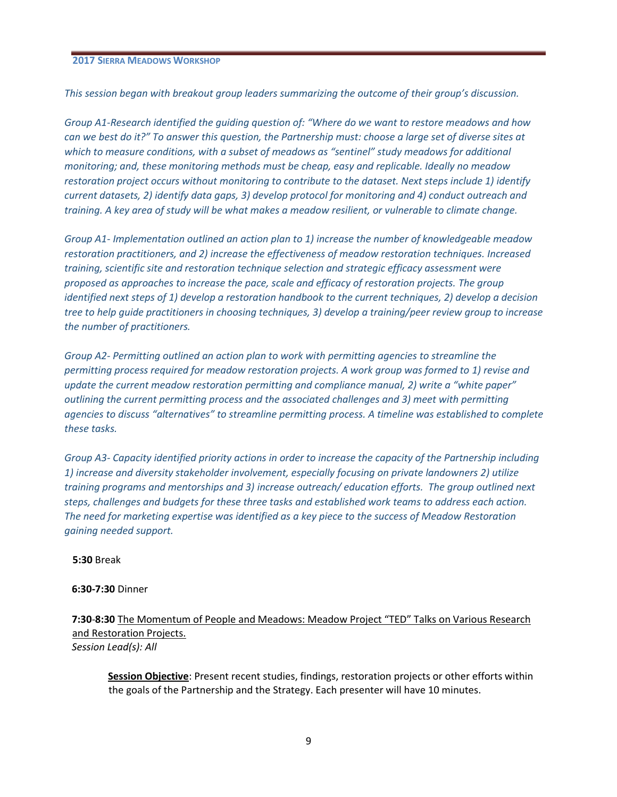*This session began with breakout group leaders summarizing the outcome of their group's discussion.* 

*Group A1-Research identified the guiding question of: "Where do we want to restore meadows and how can we best do it?" To answer this question, the Partnership must: choose a large set of diverse sites at which to measure conditions, with a subset of meadows as "sentinel" study meadows for additional monitoring; and, these monitoring methods must be cheap, easy and replicable. Ideally no meadow restoration project occurs without monitoring to contribute to the dataset. Next steps include 1) identify current datasets, 2) identify data gaps, 3) develop protocol for monitoring and 4) conduct outreach and training. A key area of study will be what makes a meadow resilient, or vulnerable to climate change.*

*Group A1- Implementation outlined an action plan to 1) increase the number of knowledgeable meadow restoration practitioners, and 2) increase the effectiveness of meadow restoration techniques. Increased training, scientific site and restoration technique selection and strategic efficacy assessment were proposed as approaches to increase the pace, scale and efficacy of restoration projects. The group identified next steps of 1) develop a restoration handbook to the current techniques, 2) develop a decision tree to help guide practitioners in choosing techniques, 3) develop a training/peer review group to increase the number of practitioners.*

*Group A2- Permitting outlined an action plan to work with permitting agencies to streamline the permitting process required for meadow restoration projects. A work group was formed to 1) revise and update the current meadow restoration permitting and compliance manual, 2) write a "white paper" outlining the current permitting process and the associated challenges and 3) meet with permitting agencies to discuss "alternatives" to streamline permitting process. A timeline was established to complete these tasks.*

*Group A3- Capacity identified priority actions in order to increase the capacity of the Partnership including 1) increase and diversity stakeholder involvement, especially focusing on private landowners 2) utilize training programs and mentorships and 3) increase outreach/ education efforts. The group outlined next steps, challenges and budgets for these three tasks and established work teams to address each action. The need for marketing expertise was identified as a key piece to the success of Meadow Restoration gaining needed support.* 

#### **5:30** Break

#### **6:30-7:30** Dinner

**7:30**-**8:30** The Momentum of People and Meadows: Meadow Project "TED" Talks on Various Research and Restoration Projects. *Session Lead(s): All* 

**Session Objective**: Present recent studies, findings, restoration projects or other efforts within the goals of the Partnership and the Strategy. Each presenter will have 10 minutes.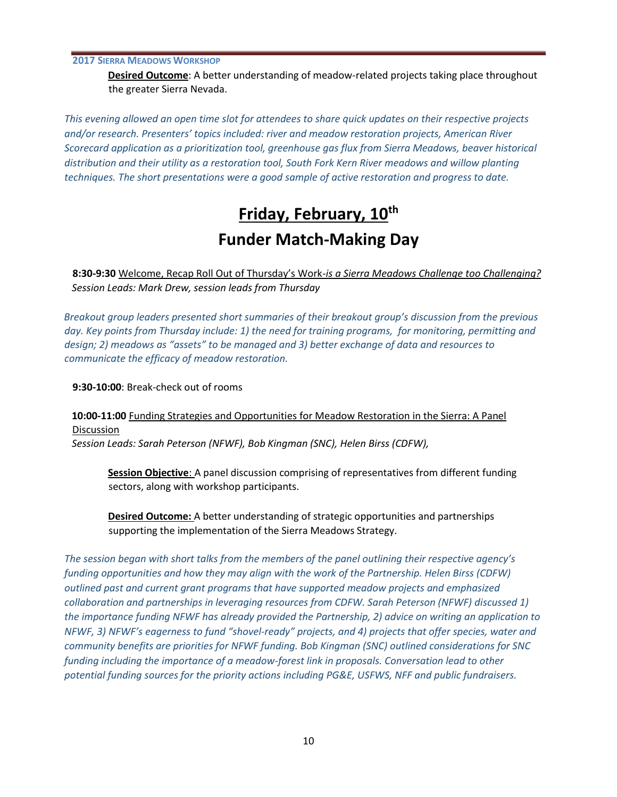**Desired Outcome**: A better understanding of meadow-related projects taking place throughout the greater Sierra Nevada.

*This evening allowed an open time slot for attendees to share quick updates on their respective projects and/or research. Presenters' topics included: river and meadow restoration projects, American River Scorecard application as a prioritization tool, greenhouse gas flux from Sierra Meadows, beaver historical distribution and their utility as a restoration tool, South Fork Kern River meadows and willow planting techniques. The short presentations were a good sample of active restoration and progress to date.* 

# **Friday, February, 10th Funder Match-Making Day**

**8:30-9:30** Welcome, Recap Roll Out of Thursday's Work-*is a Sierra Meadows Challenge too Challenging? Session Leads: Mark Drew, session leads from Thursday* 

*Breakout group leaders presented short summaries of their breakout group's discussion from the previous day. Key points from Thursday include: 1) the need for training programs, for monitoring, permitting and design; 2) meadows as "assets" to be managed and 3) better exchange of data and resources to communicate the efficacy of meadow restoration.*

**9:30-10:00**: Break-check out of rooms

**10:00-11:00** Funding Strategies and Opportunities for Meadow Restoration in the Sierra: A Panel Discussion *Session Leads: Sarah Peterson (NFWF), Bob Kingman (SNC), Helen Birss (CDFW),* 

**Session Objective**: A panel discussion comprising of representatives from different funding sectors, along with workshop participants.

**Desired Outcome:** A better understanding of strategic opportunities and partnerships supporting the implementation of the Sierra Meadows Strategy.

*The session began with short talks from the members of the panel outlining their respective agency's funding opportunities and how they may align with the work of the Partnership. Helen Birss (CDFW) outlined past and current grant programs that have supported meadow projects and emphasized collaboration and partnerships in leveraging resources from CDFW. Sarah Peterson (NFWF) discussed 1) the importance funding NFWF has already provided the Partnership, 2) advice on writing an application to NFWF, 3) NFWF's eagerness to fund "shovel-ready" projects, and 4) projects that offer species, water and community benefits are priorities for NFWF funding. Bob Kingman (SNC) outlined considerations for SNC funding including the importance of a meadow-forest link in proposals. Conversation lead to other potential funding sources for the priority actions including PG&E, USFWS, NFF and public fundraisers.*